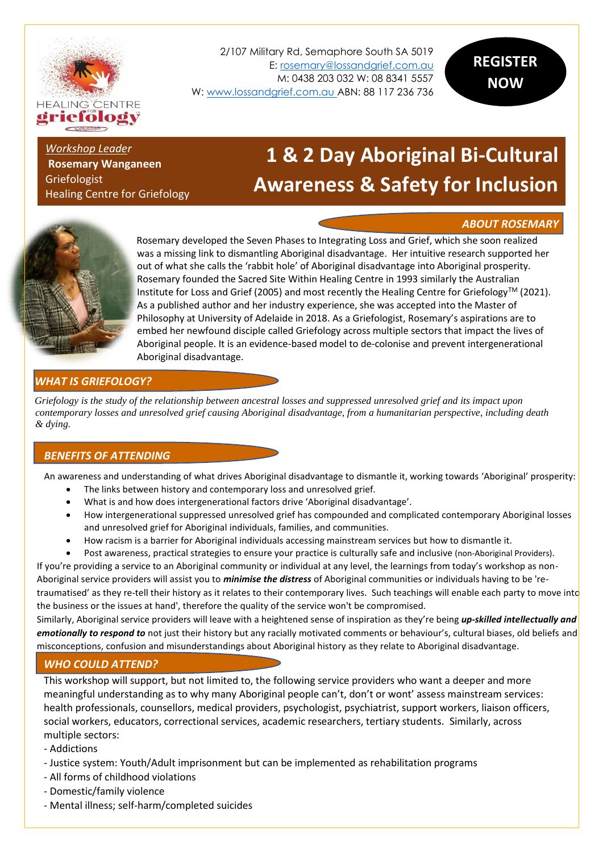

2/107 Military Rd, Semaphore South SA 5019 E[: rosemary@lossandgrief.com.au](mailto:rosemary@lossandgrief.com.au) M: 0438 203 032 W: 08 8341 5557 W: [www.lossandgrief.com.au](http://www.lossandgrief.com.au/) ABN: 88 117 236 736

*Workshop Leader* **Rosemary Wanganeen** Griefologist Healing Centre for Griefology

# **1 & 2 Day Aboriginal Bi-Cultural Awareness & Safety for Inclusion**

# **Workshop** *ABOUT ROSEMARY*



Rosemary developed the Seven Phases to Integrating Loss and Grief, which she soon realized was a missing link to dismantling Aboriginal disadvantage. Her intuitive research supported her out of what she calls the 'rabbit hole' of Aboriginal disadvantage into Aboriginal prosperity. Rosemary founded the Sacred Site Within Healing Centre in 1993 similarly the Australian Institute for Loss and Grief (2005) and most recently the Healing Centre for Griefology<sup>TM</sup> (2021). As a published author and her industry experience, she was accepted into the Master of Philosophy at University of Adelaide in 2018. As a Griefologist, Rosemary's aspirations are to embed her newfound disciple called Griefology across multiple sectors that impact the lives of Aboriginal people. It is an evidence-based model to de-colonise and prevent intergenerational Aboriginal disadvantage.

# *WHAT IS GRIEFOLOGY?*

*Griefology is the study of the relationship between ancestral losses and suppressed unresolved grief and its impact upon contemporary losses and unresolved grief causing Aboriginal disadvantage, from a humanitarian perspective, including death & dying.*

# *BENEFITS OF ATTENDING*

An awareness and understanding of what drives Aboriginal disadvantage to dismantle it, working towards 'Aboriginal' prosperity:

- The links between history and contemporary loss and unresolved grief.
- What is and how does intergenerational factors drive 'Aboriginal disadvantage'.
- How intergenerational suppressed unresolved grief has compounded and complicated contemporary Aboriginal losses and unresolved grief for Aboriginal individuals, families, and communities.
- How racism is a barrier for Aboriginal individuals accessing mainstream services but how to dismantle it.
- Post awareness, practical strategies to ensure your practice is culturally safe and inclusive (non-Aboriginal Providers).

If you're providing a service to an Aboriginal community or individual at any level, the learnings from today's workshop as non-Aboriginal service providers will assist you to *minimise the distress* of Aboriginal communities or individuals having to be 'retraumatised' as they re-tell their history as it relates to their contemporary lives. Such teachings will enable each party to move into the business or the issues at hand', therefore the quality of the service won't be compromised.

Similarly, Aboriginal service providers will leave with a heightened sense of inspiration as they're being *up-skilled intellectually and emotionally to respond to* not just their history but any racially motivated comments or behaviour's, cultural biases, old beliefs and misconceptions, confusion and misunderstandings about Aboriginal history as they relate to Aboriginal disadvantage.

# *WHO COULD ATTEND?*

This workshop will support, but not limited to, the following service providers who want a deeper and more meaningful understanding as to why many Aboriginal people can't, don't or wont' assess mainstream services: health professionals, counsellors, medical providers, psychologist, psychiatrist, support workers, liaison officers, social workers, educators, correctional services, academic researchers, tertiary students. Similarly, across multiple sectors:

- Addictions
- Justice system: Youth/Adult imprisonment but can be implemented as rehabilitation programs
- All forms of childhood violations
- Domestic/family violence
- Mental illness; self-harm/completed suicides